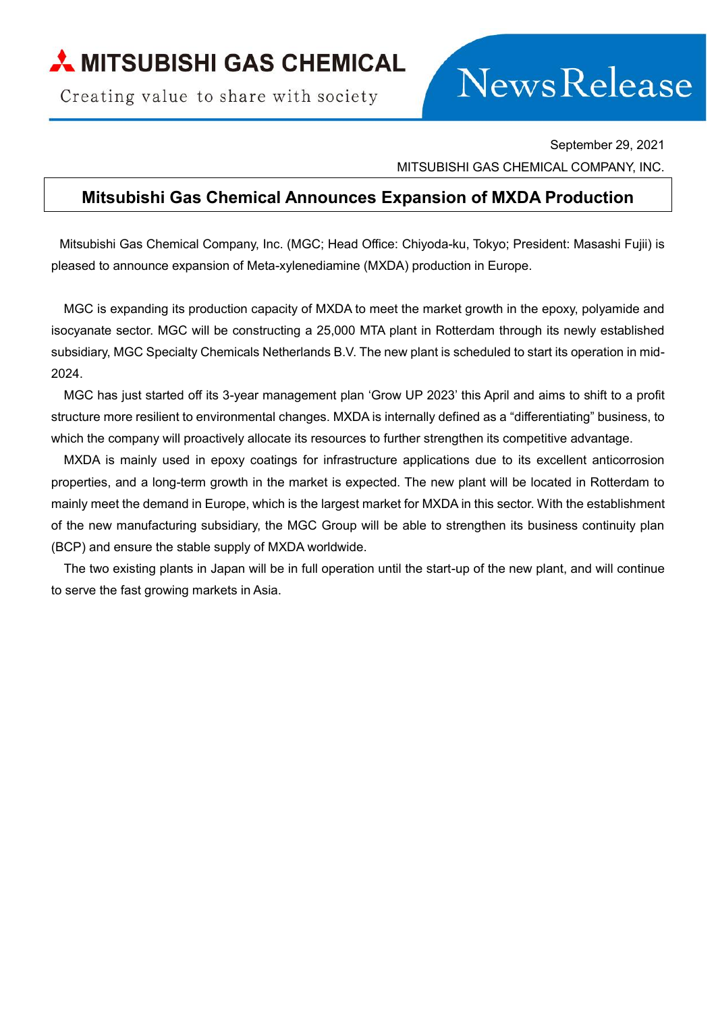## MITSUBISHI GAS CHEMICAL

Creating value to share with society

## **NewsRelease**

September 29, 2021

MITSUBISHI GAS CHEMICAL COMPANY, INC.

## **Mitsubishi Gas Chemical Announces Expansion of MXDA Production**

Mitsubishi Gas Chemical Company, Inc. (MGC; Head Office: Chiyoda-ku, Tokyo; President: Masashi Fujii) is pleased to announce expansion of Meta-xylenediamine (MXDA) production in Europe.

MGC is expanding its production capacity of MXDA to meet the market growth in the epoxy, polyamide and isocyanate sector. MGC will be constructing a 25,000 MTA plant in Rotterdam through its newly established subsidiary, MGC Specialty Chemicals Netherlands B.V. The new plant is scheduled to start its operation in mid-2024.

MGC has just started off its 3-year management plan 'Grow UP 2023' this April and aims to shift to a profit structure more resilient to environmental changes. MXDA is internally defined as a "differentiating" business, to which the company will proactively allocate its resources to further strengthen its competitive advantage.

MXDA is mainly used in epoxy coatings for infrastructure applications due to its excellent anticorrosion properties, and a long-term growth in the market is expected. The new plant will be located in Rotterdam to mainly meet the demand in Europe, which is the largest market for MXDA in this sector. With the establishment of the new manufacturing subsidiary, the MGC Group will be able to strengthen its business continuity plan (BCP) and ensure the stable supply of MXDA worldwide.

The two existing plants in Japan will be in full operation until the start-up of the new plant, and will continue to serve the fast growing markets in Asia.